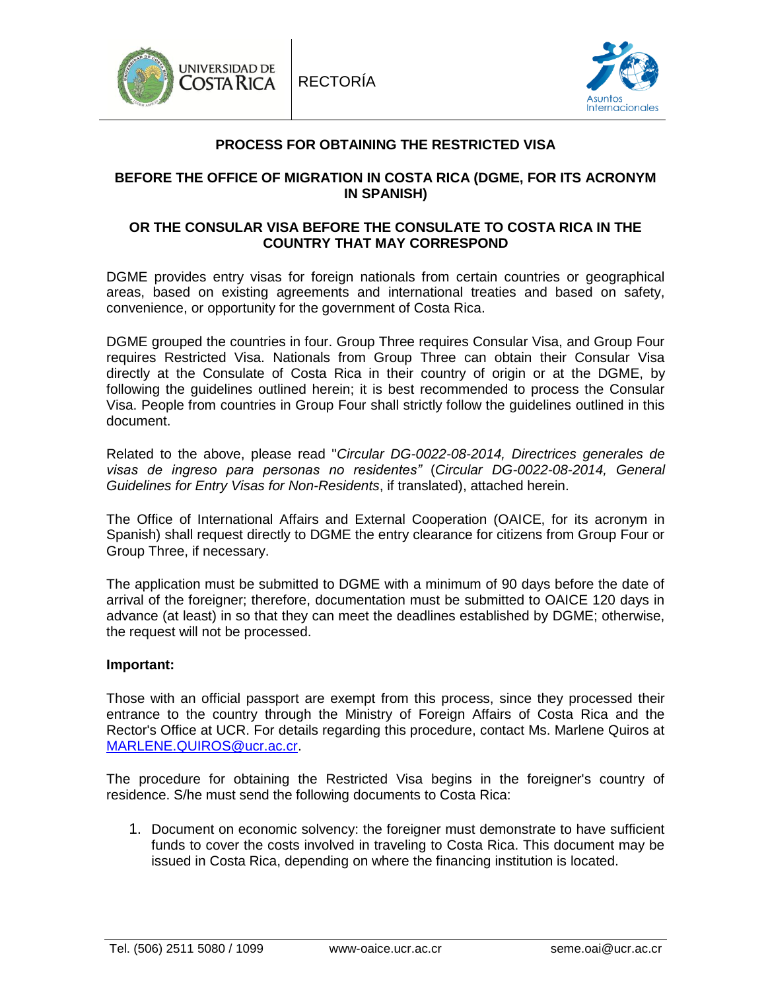



# **PROCESS FOR OBTAINING THE RESTRICTED VISA**

# **BEFORE THE OFFICE OF MIGRATION IN COSTA RICA (DGME, FOR ITS ACRONYM IN SPANISH)**

## **OR THE CONSULAR VISA BEFORE THE CONSULATE TO COSTA RICA IN THE COUNTRY THAT MAY CORRESPOND**

DGME provides entry visas for foreign nationals from certain countries or geographical areas, based on existing agreements and international treaties and based on safety, convenience, or opportunity for the government of Costa Rica.

DGME grouped the countries in four. Group Three requires Consular Visa, and Group Four requires Restricted Visa. Nationals from Group Three can obtain their Consular Visa directly at the Consulate of Costa Rica in their country of origin or at the DGME, by following the guidelines outlined herein; it is best recommended to process the Consular Visa. People from countries in Group Four shall strictly follow the guidelines outlined in this document.

Related to the above, please read "*Circular DG-0022-08-2014, Directrices generales de visas de ingreso para personas no residentes"* (*Circular DG-0022-08-2014, General Guidelines for Entry Visas for Non-Residents*, if translated), attached herein.

The Office of International Affairs and External Cooperation (OAICE, for its acronym in Spanish) shall request directly to DGME the entry clearance for citizens from Group Four or Group Three, if necessary.

The application must be submitted to DGME with a minimum of 90 days before the date of arrival of the foreigner; therefore, documentation must be submitted to OAICE 120 days in advance (at least) in so that they can meet the deadlines established by DGME; otherwise, the request will not be processed.

#### **Important:**

Those with an official passport are exempt from this process, since they processed their entrance to the country through the Ministry of Foreign Affairs of Costa Rica and the Rector's Office at UCR. For details regarding this procedure, contact Ms. Marlene Quiros at [MARLENE.QUIROS@ucr.ac.cr.](mailto:MARLENE.QUIROS@ucr.ac.cr)

The procedure for obtaining the Restricted Visa begins in the foreigner's country of residence. S/he must send the following documents to Costa Rica:

1. Document on economic solvency: the foreigner must demonstrate to have sufficient funds to cover the costs involved in traveling to Costa Rica. This document may be issued in Costa Rica, depending on where the financing institution is located.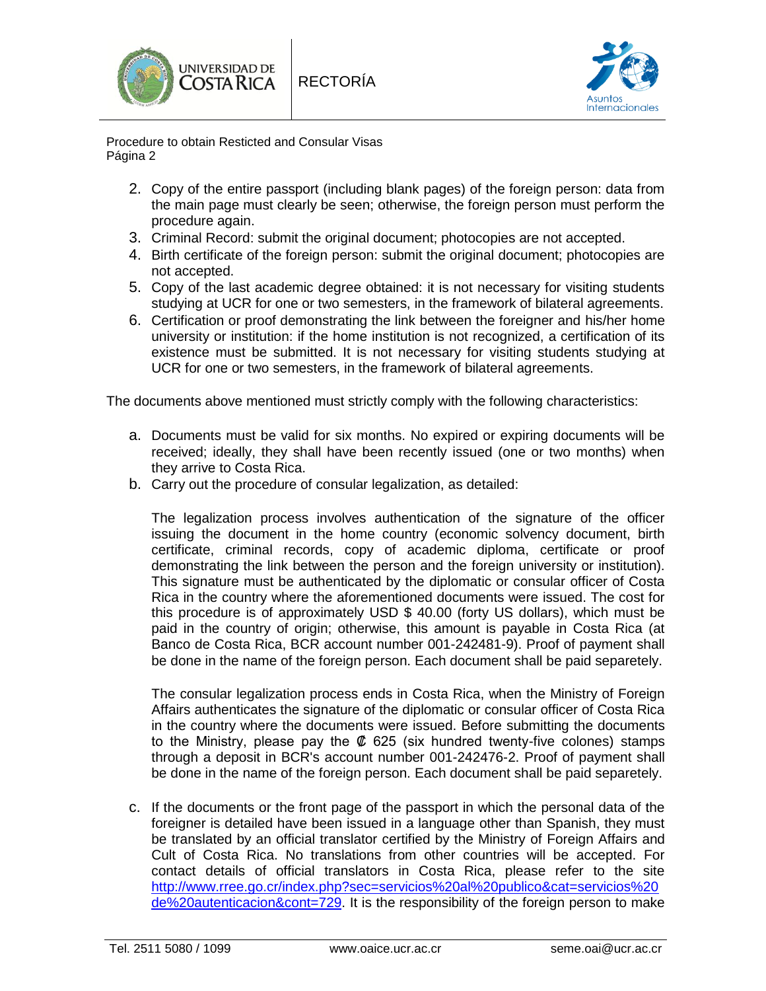



Procedure to obtain Resticted and Consular Visas Página 2

- 2. Copy of the entire passport (including blank pages) of the foreign person: data from the main page must clearly be seen; otherwise, the foreign person must perform the procedure again.
- 3. Criminal Record: submit the original document; photocopies are not accepted.
- 4. Birth certificate of the foreign person: submit the original document; photocopies are not accepted.
- 5. Copy of the last academic degree obtained: it is not necessary for visiting students studying at UCR for one or two semesters, in the framework of bilateral agreements.
- 6. Certification or proof demonstrating the link between the foreigner and his/her home university or institution: if the home institution is not recognized, a certification of its existence must be submitted. It is not necessary for visiting students studying at UCR for one or two semesters, in the framework of bilateral agreements.

The documents above mentioned must strictly comply with the following characteristics:

- a. Documents must be valid for six months. No expired or expiring documents will be received; ideally, they shall have been recently issued (one or two months) when they arrive to Costa Rica.
- b. Carry out the procedure of consular legalization, as detailed:

The legalization process involves authentication of the signature of the officer issuing the document in the home country (economic solvency document, birth certificate, criminal records, copy of academic diploma, certificate or proof demonstrating the link between the person and the foreign university or institution). This signature must be authenticated by the diplomatic or consular officer of Costa Rica in the country where the aforementioned documents were issued. The cost for this procedure is of approximately USD \$ 40.00 (forty US dollars), which must be paid in the country of origin; otherwise, this amount is payable in Costa Rica (at Banco de Costa Rica, BCR account number 001-242481-9). Proof of payment shall be done in the name of the foreign person. Each document shall be paid separetely.

The consular legalization process ends in Costa Rica, when the Ministry of Foreign Affairs authenticates the signature of the diplomatic or consular officer of Costa Rica in the country where the documents were issued. Before submitting the documents to the Ministry, please pay the  $\&$  625 (six hundred twenty-five colones) stamps through a deposit in BCR's account number 001-242476-2. Proof of payment shall be done in the name of the foreign person. Each document shall be paid separetely.

c. If the documents or the front page of the passport in which the personal data of the foreigner is detailed have been issued in a language other than Spanish, they must be translated by an official translator certified by the Ministry of Foreign Affairs and Cult of Costa Rica. No translations from other countries will be accepted. For contact details of official translators in Costa Rica, please refer to the site [http://www.rree.go.cr/index.php?sec=servicios%20al%20publico&cat=servicios%20](http://www.rree.go.cr/index.php?sec=servicios%20al%20publico&cat=servicios%20de%20autenticacion&cont=729) [de%20autenticacion&cont=729.](http://www.rree.go.cr/index.php?sec=servicios%20al%20publico&cat=servicios%20de%20autenticacion&cont=729) It is the responsibility of the foreign person to make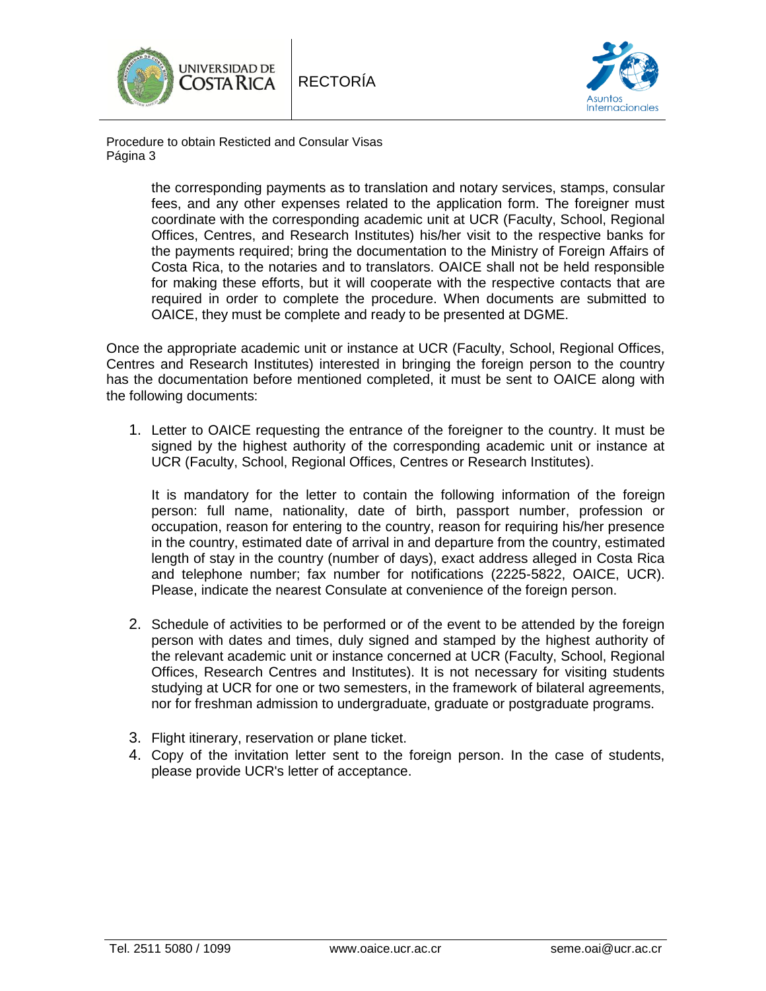



Procedure to obtain Resticted and Consular Visas Página 3

> the corresponding payments as to translation and notary services, stamps, consular fees, and any other expenses related to the application form. The foreigner must coordinate with the corresponding academic unit at UCR (Faculty, School, Regional Offices, Centres, and Research Institutes) his/her visit to the respective banks for the payments required; bring the documentation to the Ministry of Foreign Affairs of Costa Rica, to the notaries and to translators. OAICE shall not be held responsible for making these efforts, but it will cooperate with the respective contacts that are required in order to complete the procedure. When documents are submitted to OAICE, they must be complete and ready to be presented at DGME.

Once the appropriate academic unit or instance at UCR (Faculty, School, Regional Offices, Centres and Research Institutes) interested in bringing the foreign person to the country has the documentation before mentioned completed, it must be sent to OAICE along with the following documents:

1. Letter to OAICE requesting the entrance of the foreigner to the country. It must be signed by the highest authority of the corresponding academic unit or instance at UCR (Faculty, School, Regional Offices, Centres or Research Institutes).

It is mandatory for the letter to contain the following information of the foreign person: full name, nationality, date of birth, passport number, profession or occupation, reason for entering to the country, reason for requiring his/her presence in the country, estimated date of arrival in and departure from the country, estimated length of stay in the country (number of days), exact address alleged in Costa Rica and telephone number; fax number for notifications (2225-5822, OAICE, UCR). Please, indicate the nearest Consulate at convenience of the foreign person.

- 2. Schedule of activities to be performed or of the event to be attended by the foreign person with dates and times, duly signed and stamped by the highest authority of the relevant academic unit or instance concerned at UCR (Faculty, School, Regional Offices, Research Centres and Institutes). It is not necessary for visiting students studying at UCR for one or two semesters, in the framework of bilateral agreements, nor for freshman admission to undergraduate, graduate or postgraduate programs.
- 3. Flight itinerary, reservation or plane ticket.
- 4. Copy of the invitation letter sent to the foreign person. In the case of students, please provide UCR's letter of acceptance.